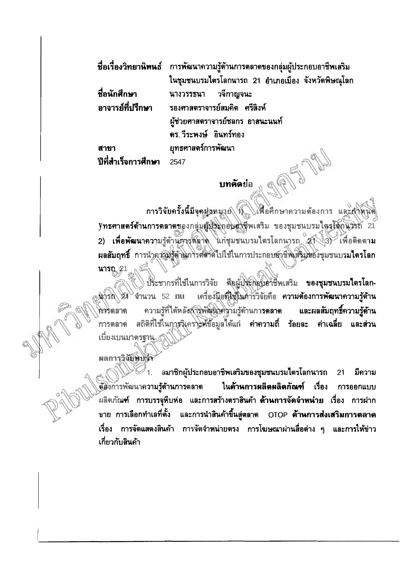|                     | ี ชื่อเรื่องวิทยานิพนธ์ การพัฒนาความรู้ด้านการตลาดของกลุ่มผู้ประกอบอาชีพเสริม |  |
|---------------------|-------------------------------------------------------------------------------|--|
|                     | ในชุมชนบรมไตรโลกนารถ 21 อำเภอเมือง จังหวัดพิษณุโลก                            |  |
| ชื่อนักศึกษา        | ี นางวรรธนา วจีกาญจนะ                                                         |  |
|                     | ิ อาจารย์ที่ปรึกษา รองศาสตราจารย์สมคิด ศรีสิงห์                               |  |
|                     | ผู้ช่วยศาสตราจารย์ชลกร อาสนะนนท์                                              |  |
|                     | ดร. วีระพงษ์ อินทร์ทอง                                                        |  |
| สาขา                | ยุทธศาสตร์การพัฒนา                                                            |  |
| ปีที่สำเร็จการศึกษา | 2547                                                                          |  |

## **Unñaua**

การวิจัยครั้งนี้มีจุดช่าหมาย นี้ ได้ให้อศึกษาความต้องการ และสำพินติ ynsenans์ด้านการตลาดของกลุ่มผู้นำะถอบดำซีพเสริม ของชุมชนบรมไตรโลกนำรถ 21 2) เพื่อพัฒนาความรู้ด้านการตลาด แก่ชุมชนบรมไตรโลกนารถ 27 3) เพื่อติดตาม ผลสัมฤทธิ์ การนำคูรอิมรู้ดำนิการตลาดไปใช้ในการประกอบอาชีพเสริมของชุมชนบรมไตรโลก นารณ 21

ประชากรที่ใช้ในการวิจัย คือผู้ประกอบอาชีพเสริม ของชุมชนบรมไตรโลก-เครื่องมือที่ไซในคารวิจัยคือ ความต้องการพัฒนาความรู้ด้าน นารถ 24 จำนวน 52 nu ความรู้ที่ได้หลังการพัฒนาคงามรู้ด้านกา**รตลาด** และผลสัมฤทธิ์ความรู้ด้าน กลรดลาด ิสถิติที่ใช้ในการจิเคราะห์ข้อมูลได้แก่ ค่าความถี่ ร้อยละ ค่าเฉลี่ย และส่วน การตลาด เบียงเบนมาตรฐาน

ผลการวิจัยพบจำ

สมาชิกผู้ประกอบอาชีพเสริมของชุมชนบรมไตรโลกนารถ  $\geq 1$ . 21 มีความ ต์ฮังการพัฒนาความรู้ด้านการตลาด ในด้านการผลิตผลิตภัณฑ์ เรื่อง การออกแบบ ผลิตภัณฑ์ การบรรจุหีบห่อ และการสร้างตราสินค้า **ด้านการจัดจำหน่าย** เรื่อง การฝาก ขาย การเลือกทำเลที่ตั้ง และการนำสินค้าขึ้นสู่ตลาด OTOP **ด้านการส่งเสริมการตลาด** เรื่อง การจัดแสดงสินค้า การจัดจำหน่ายตรง การโฆษณาผ่านสื่อต่าง ๆ และการให้ข่าว เกี่ยวกับสินค้า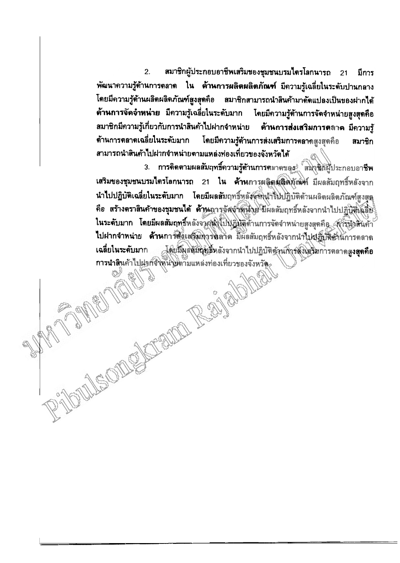$2.$ สมาชิกผู้ประกอบอาชีพเสริมของชุมชนบรมไตรโลกนารถ  $21$ มีการ พัฒนาความรู้ด้านการตลาด ใน ด้านการผลิตผลิตภัณฑ์ มีความรู้เฉลี่ยในระดับปานกลาง โดยมีความรู้ด้านผลิตผลิตภัณฑ์สูงสุดคือ สมาชิกสามารถนำสินค้ามาดัดแปลงเป็นของฝากได้ ด้านการจัดจำหน่าย มีความรู้เฉลี่ยในระดับมาก โดยมีความรู้ด้านการจัดจำหน่ายสูงสุดคือ สมาชิกมีความรู้เกี่ยวกับการนำสินค้าไปฝากจำหน่าย ด้านการส่งเสริมการตลาด มีความรู้ โดยมีความรู้ด้านการส่งเสริมการตลาดสูงสุดคือ ด้านการตลาดเฉลี่ยในระดับมาก สมาชิก สามารถนำสินค้าไปฝากจำหน่ายตามแหล่งท่องเที่ยวของจังหวัดได้

3. การติดตามผลสัมฤทธิ์ความรู้ด้านการตลาดของ $\hat{z}^{\dagger}_{\alpha}$ สมิงชิตผู้ประกอบอาชีพ เสริมของชุมชนบรมไตรโลกนารถ 21 ใน ด้านการผลิตผลิตภัณฑ์ มีผลสัมฤทธิ์หลังจาก นำไปปฏิบัติเฉลี่ยในระดับมาก โดยมีผลสัมฤทธิ์หลังสหน้าไปปฏิบัติด้านผลิตผลิตภัณฑ์สงสด คือ สร้างตราสินค้าของชุมชนได้ ด้าน การจัดจำสมงาย มีผลสัมฤทธิ์หลังจากนำไปปฏิบัติเฉลี่ย ในระดับมาก โดยมีผลสัมฤทธิ์หลังจากนำไปปฏิบัติด้านการจัดจำหน่ายสูงสุดคือ (กำรับวิสันค้า ไปฝากจำหน่าย ด้านการสิ่งเสริมทารตลาด มีผลสัมฤทธิ์หลังจากนำไปปฏิบัติตำนัการตลาด .<br>โดยมีผลสัมผู้ของลังจากนำไปปฏิบัติด้านกิ่งรสังเสริมการตลาดส**ูงสุดคือ** เฉลี่ยในระดับมาก การนำสินค้าไปฝากจำพนายตามแหล่งท่องเที่ยวของจังหวัด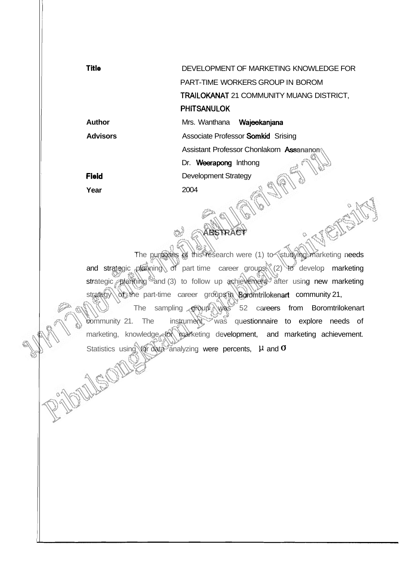| <b>Title</b>    | DEVELOPMENT OF MARKETING KNOWLEDGE FOR          |
|-----------------|-------------------------------------------------|
|                 | PART-TIME WORKERS GROUP IN BOROM                |
|                 | <b>TRAILOKANAT 21 COMMUNITY MUANG DISTRICT,</b> |
|                 | <b>PHITSANULOK</b>                              |
| Author          | Mrs. Wanthana<br>Wajeekanjana                   |
| <b>Advisors</b> | Associate Professor <b>Somkid</b> Srising       |
|                 | Assistant Professor Chonlakorn Assananon        |
|                 | Dr. Weerapong Inthong                           |
| Fleid           | <b>Development Strategy</b>                     |
| Year            | 2004                                            |

The purposes of this research were (1) to studying marketing needs and strategic planning of part time career groups, (2) to develop marketing strategic planning and (3) to follow up achievement after using new marketing strategy of the part-time career groups in Boromtrilokenart community 21, The sampling group was 52 careers from Boromtrilokenart

**ABSTRACT** 

community 21. The instrument was questionnaire to explore needs of marketing, knowledge for marketing development, and marketing achievement. Statistics using for data analyzing were percents, **H** and **O** 

SOM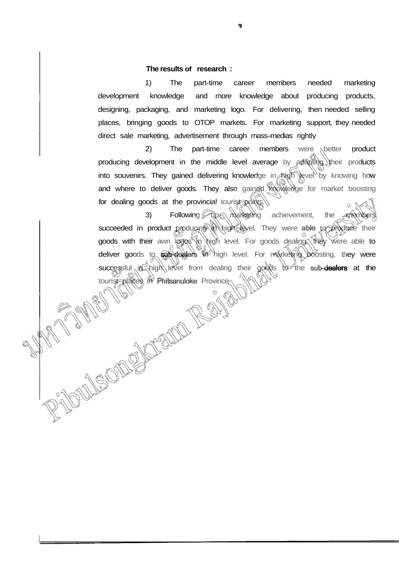## **The results of research** :

1) The part-time career members needed marketing development knowledge and more knowledge about producing products, designing, packaging, and marketing logo. For delivering, then needed selling places, bringing goods to OTOP markets. For marketing support, they needed direct sale marketing, advertisement through mass-medias rightly

2) The part-time career members were better product producing development in the middle level average by adapting their products into souvenirs. They gained delivering knowledge in high level by knowing how and where to deliver goods. They also gained knowledge for market boosting for dealing goods at the provincial tourist points.

3) Following up marketing achievement, the members succeeded in product producing in high level. They were able to produce their goods with their awn logos in high level. For goods dealing, they were able to deliver goods to sub-dealers in high level. For marketing boosting, they were successful in high level from dealing their goods to the sub-dealers at the to the places in the place of the Province Province Province Province Province Province Province Province Province